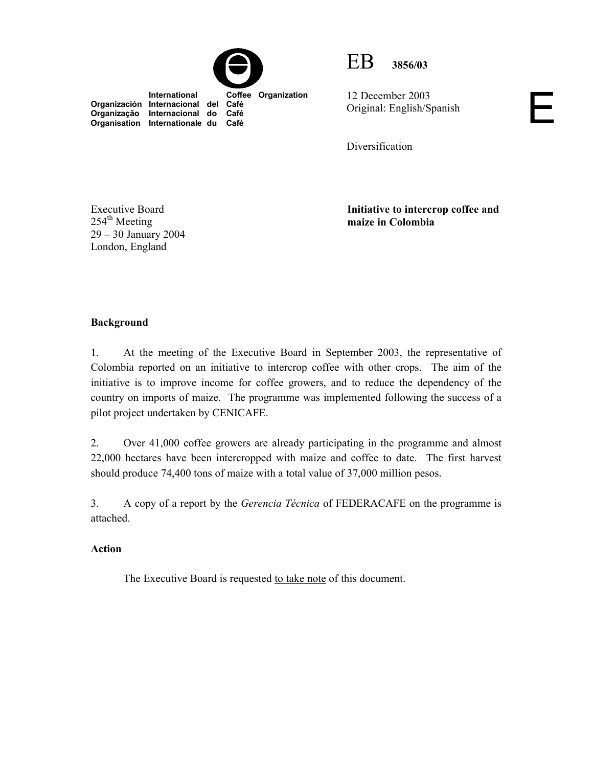



12 December 2003 Original: English/Spanish

Diversification

Executive Board  $254<sup>th</sup>$  Meeting 29 – 30 January 2004 London, England

**Organização Internacional do Café Organisation Internationale du** 

> **Initiative to intercrop coffee and maize in Colombia**

Е

## **Background**

1. At the meeting of the Executive Board in September 2003, the representative of Colombia reported on an initiative to intercrop coffee with other crops. The aim of the initiative is to improve income for coffee growers, and to reduce the dependency of the country on imports of maize. The programme was implemented following the success of a pilot project undertaken by CENICAFE.

2. Over 41,000 coffee growers are already participating in the programme and almost 22,000 hectares have been intercropped with maize and coffee to date. The first harvest should produce 74,400 tons of maize with a total value of 37,000 million pesos.

3. A copy of a report by the *Gerencia Técnica* of FEDERACAFE on the programme is attached.

#### **Action**

The Executive Board is requested to take note of this document.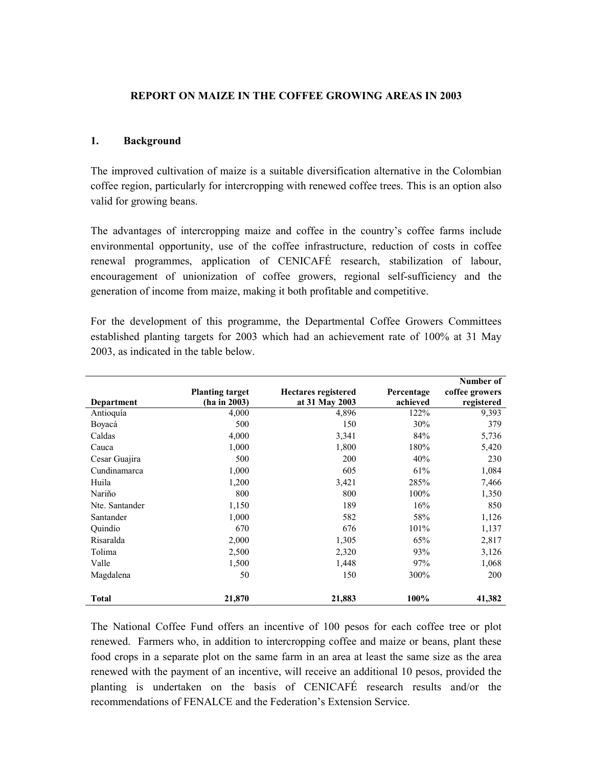#### **REPORT ON MAIZE IN THE COFFEE GROWING AREAS IN 2003**

#### **1. Background**

The improved cultivation of maize is a suitable diversification alternative in the Colombian coffee region, particularly for intercropping with renewed coffee trees. This is an option also valid for growing beans.

The advantages of intercropping maize and coffee in the country's coffee farms include environmental opportunity, use of the coffee infrastructure, reduction of costs in coffee renewal programmes, application of CENICAFÉ research, stabilization of labour, encouragement of unionization of coffee growers, regional self-sufficiency and the generation of income from maize, making it both profitable and competitive.

For the development of this programme, the Departmental Coffee Growers Committees established planting targets for 2003 which had an achievement rate of 100% at 31 May 2003, as indicated in the table below.

|                   |                        |                            |            | Number of      |
|-------------------|------------------------|----------------------------|------------|----------------|
|                   | <b>Planting target</b> | <b>Hectares registered</b> | Percentage | coffee growers |
| <b>Department</b> | (ha in 2003)           | at 31 May 2003             | achieved   | registered     |
| Antioquía         | 4,000                  | 4,896                      | 122%       | 9,393          |
| Boyacá            | 500                    | 150                        | 30%        | 379            |
| Caldas            | 4,000                  | 3,341                      | 84%        | 5,736          |
| Cauca             | 1,000                  | 1,800                      | 180%       | 5,420          |
| Cesar Guajira     | 500                    | 200                        | 40%        | 230            |
| Cundinamarca      | 1,000                  | 605                        | 61%        | 1,084          |
| Huila             | 1,200                  | 3,421                      | 285%       | 7,466          |
| Nariño            | 800                    | 800                        | 100%       | 1,350          |
| Nte. Santander    | 1,150                  | 189                        | 16%        | 850            |
| Santander         | 1,000                  | 582                        | 58%        | 1,126          |
| Ouindío           | 670                    | 676                        | 101%       | 1,137          |
| Risaralda         | 2,000                  | 1,305                      | 65%        | 2,817          |
| Tolima            | 2,500                  | 2,320                      | 93%        | 3,126          |
| Valle             | 1,500                  | 1,448                      | 97%        | 1,068          |
| Magdalena         | 50                     | 150                        | 300%       | 200            |
| <b>Total</b>      | 21,870                 | 21,883                     | 100%       | 41,382         |

The National Coffee Fund offers an incentive of 100 pesos for each coffee tree or plot renewed. Farmers who, in addition to intercropping coffee and maize or beans, plant these food crops in a separate plot on the same farm in an area at least the same size as the area renewed with the payment of an incentive, will receive an additional 10 pesos, provided the planting is undertaken on the basis of CENICAFÉ research results and/or the recommendations of FENALCE and the Federation's Extension Service.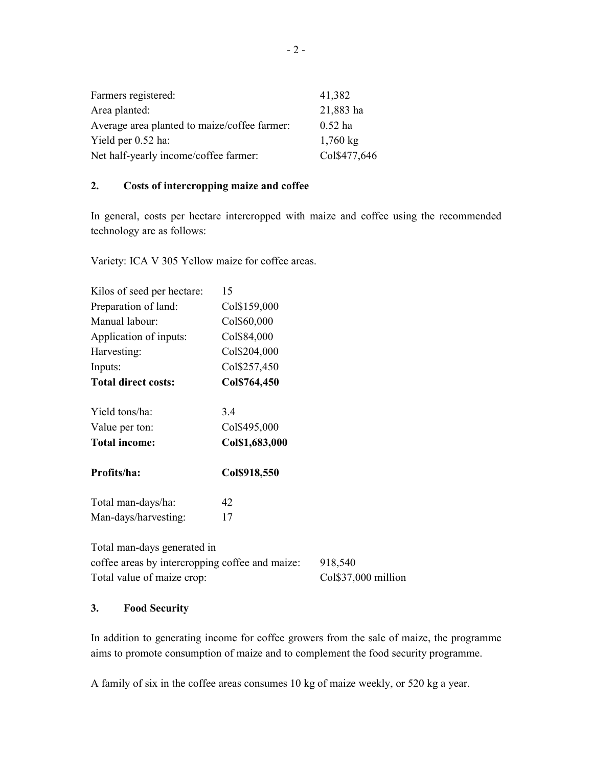| Farmers registered:                          | 41,382             |
|----------------------------------------------|--------------------|
| Area planted:                                | 21,883 ha          |
| Average area planted to maize/coffee farmer. | $0.52$ ha          |
| Yield per 0.52 ha:                           | $1,760 \text{ kg}$ |
| Net half-yearly income/coffee farmer:        | Col\$477,646       |

### **2. Costs of intercropping maize and coffee**

In general, costs per hectare intercropped with maize and coffee using the recommended technology are as follows:

Variety: ICA V 305 Yellow maize for coffee areas.

| Kilos of seed per hectare:                                                                                   | 15             |                                |
|--------------------------------------------------------------------------------------------------------------|----------------|--------------------------------|
| Preparation of land:                                                                                         | Col\$159,000   |                                |
| Manual labour:                                                                                               | Col\$60,000    |                                |
| Application of inputs:                                                                                       | Col\$84,000    |                                |
| Harvesting:                                                                                                  | Col\$204,000   |                                |
| Inputs:                                                                                                      | Col\$257,450   |                                |
| <b>Total direct costs:</b>                                                                                   | Col\$764,450   |                                |
| Yield tons/ha:                                                                                               | 3.4            |                                |
| Value per ton:                                                                                               | Col\$495,000   |                                |
| <b>Total income:</b>                                                                                         | Col\$1,683,000 |                                |
| Profits/ha:                                                                                                  |                |                                |
|                                                                                                              | Col\$918,550   |                                |
| Total man-days/ha:                                                                                           | 42             |                                |
| Man-days/harvesting:                                                                                         | 17             |                                |
| Total man-days generated in<br>coffee areas by intercropping coffee and maize:<br>Total value of maize crop: |                | 918,540<br>Col\$37,000 million |

# **3. Food Security**

In addition to generating income for coffee growers from the sale of maize, the programme aims to promote consumption of maize and to complement the food security programme.

A family of six in the coffee areas consumes 10 kg of maize weekly, or 520 kg a year.